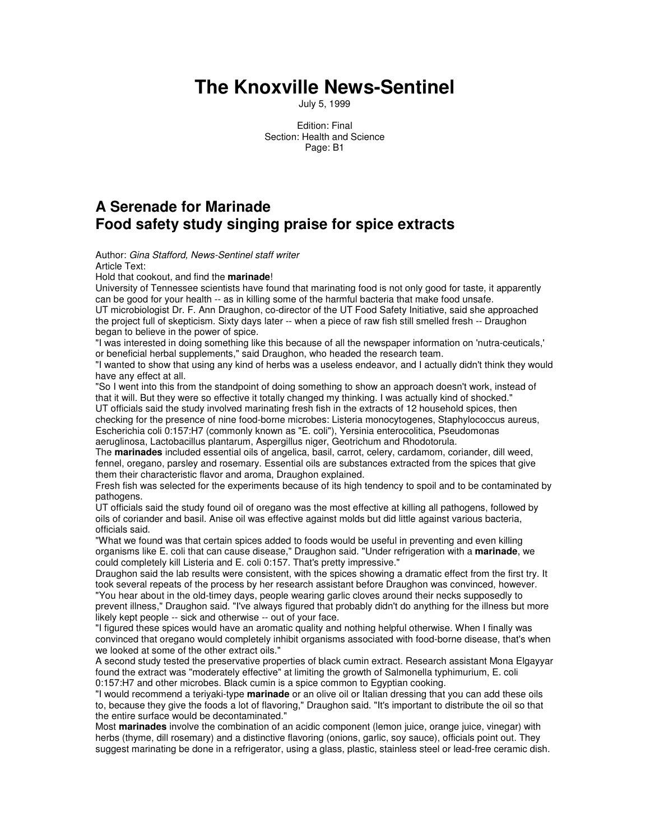## **The Knoxville News-Sentinel**

July 5, 1999

Edition: Final Section: Health and Science Page: B1

## **A Serenade for Marinade Food safety study singing praise for spice extracts**

Author: *Gina Stafford, News-Sentinel staff writer* Article Text:

Hold that cookout, and find the **marinade**!

University of Tennessee scientists have found that marinating food is not only good for taste, it apparently can be good for your health -- as in killing some of the harmful bacteria that make food unsafe. UT microbiologist Dr. F. Ann Draughon, co-director of the UT Food Safety Initiative, said she approached

the project full of skepticism. Sixty days later -- when a piece of raw fish still smelled fresh -- Draughon began to believe in the power of spice.

"I was interested in doing something like this because of all the newspaper information on 'nutra-ceuticals,' or beneficial herbal supplements," said Draughon, who headed the research team.

"I wanted to show that using any kind of herbs was a useless endeavor, and I actually didn't think they would have any effect at all.

"So I went into this from the standpoint of doing something to show an approach doesn't work, instead of that it will. But they were so effective it totally changed my thinking. I was actually kind of shocked." UT officials said the study involved marinating fresh fish in the extracts of 12 household spices, then

checking for the presence of nine food-borne microbes: Listeria monocytogenes, Staphylococcus aureus, Escherichia coli 0:157:H7 (commonly known as "E. coli"), Yersinia enterocolitica, Pseudomonas aeruglinosa, Lactobacillus plantarum, Aspergillus niger, Geotrichum and Rhodotorula.

The **marinades** included essential oils of angelica, basil, carrot, celery, cardamom, coriander, dill weed, fennel, oregano, parsley and rosemary. Essential oils are substances extracted from the spices that give them their characteristic flavor and aroma, Draughon explained.

Fresh fish was selected for the experiments because of its high tendency to spoil and to be contaminated by pathogens.

UT officials said the study found oil of oregano was the most effective at killing all pathogens, followed by oils of coriander and basil. Anise oil was effective against molds but did little against various bacteria, officials said.

"What we found was that certain spices added to foods would be useful in preventing and even killing organisms like E. coli that can cause disease," Draughon said. "Under refrigeration with a **marinade**, we could completely kill Listeria and E. coli 0:157. That's pretty impressive."

Draughon said the lab results were consistent, with the spices showing a dramatic effect from the first try. It took several repeats of the process by her research assistant before Draughon was convinced, however.

"You hear about in the old-timey days, people wearing garlic cloves around their necks supposedly to prevent illness," Draughon said. "I've always figured that probably didn't do anything for the illness but more likely kept people -- sick and otherwise -- out of your face.

"I figured these spices would have an aromatic quality and nothing helpful otherwise. When I finally was convinced that oregano would completely inhibit organisms associated with food-borne disease, that's when we looked at some of the other extract oils."

A second study tested the preservative properties of black cumin extract. Research assistant Mona Elgayyar found the extract was "moderately effective" at limiting the growth of Salmonella typhimurium, E. coli 0:157:H7 and other microbes. Black cumin is a spice common to Egyptian cooking.

"I would recommend a teriyaki-type **marinade** or an olive oil or Italian dressing that you can add these oils to, because they give the foods a lot of flavoring," Draughon said. "It's important to distribute the oil so that the entire surface would be decontaminated."

Most **marinades** involve the combination of an acidic component (lemon juice, orange juice, vinegar) with herbs (thyme, dill rosemary) and a distinctive flavoring (onions, garlic, soy sauce), officials point out. They suggest marinating be done in a refrigerator, using a glass, plastic, stainless steel or lead-free ceramic dish.